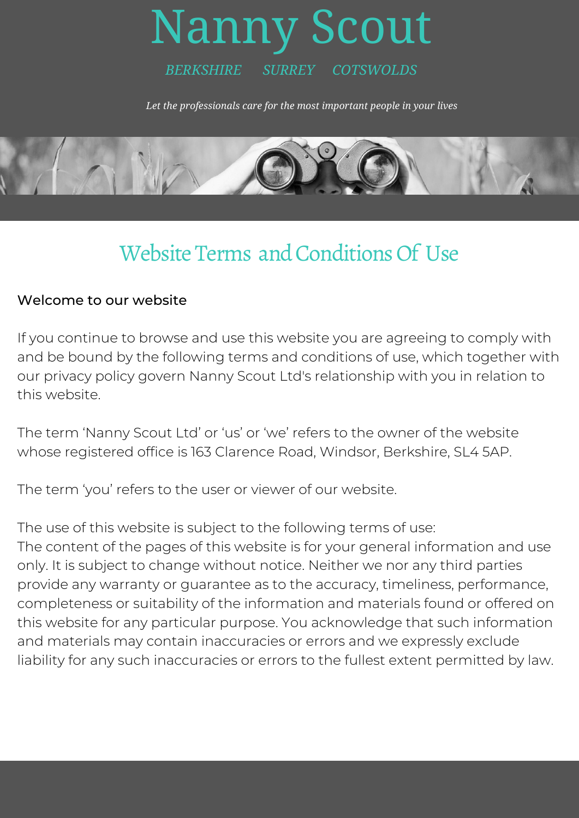## Nanny Scout *BERKSHIRE SURREY COTSWOLDS*

*Let the professionals care for the most important people in your lives*



## Website Terms and Conditions Of Use

## Welcome to our website

If you continue to browse and use this website you are agreeing to comply with and be bound by the following terms and conditions of use, which together with our privacy policy govern Nanny Scout Ltd's relationship with you in relation to this website.

The term 'Nanny Scout Ltd' or 'us' or 'we' refers to the owner of the website whose registered office is 163 Clarence Road, Windsor, Berkshire, SL4 5AP.

The term 'you' refers to the user or viewer of our website.

The use of this website is subject to the following terms of use: The content of the pages of this website is for your general information and use only. It is subject to change without notice. Neither we nor any third parties provide any warranty or guarantee as to the accuracy, timeliness, performance, completeness or suitability of the information and materials found or offered on this website for any particular purpose. You acknowledge that such information and materials may contain inaccuracies or errors and we expressly exclude liability for any such inaccuracies or errors to the fullest extent permitted by law.